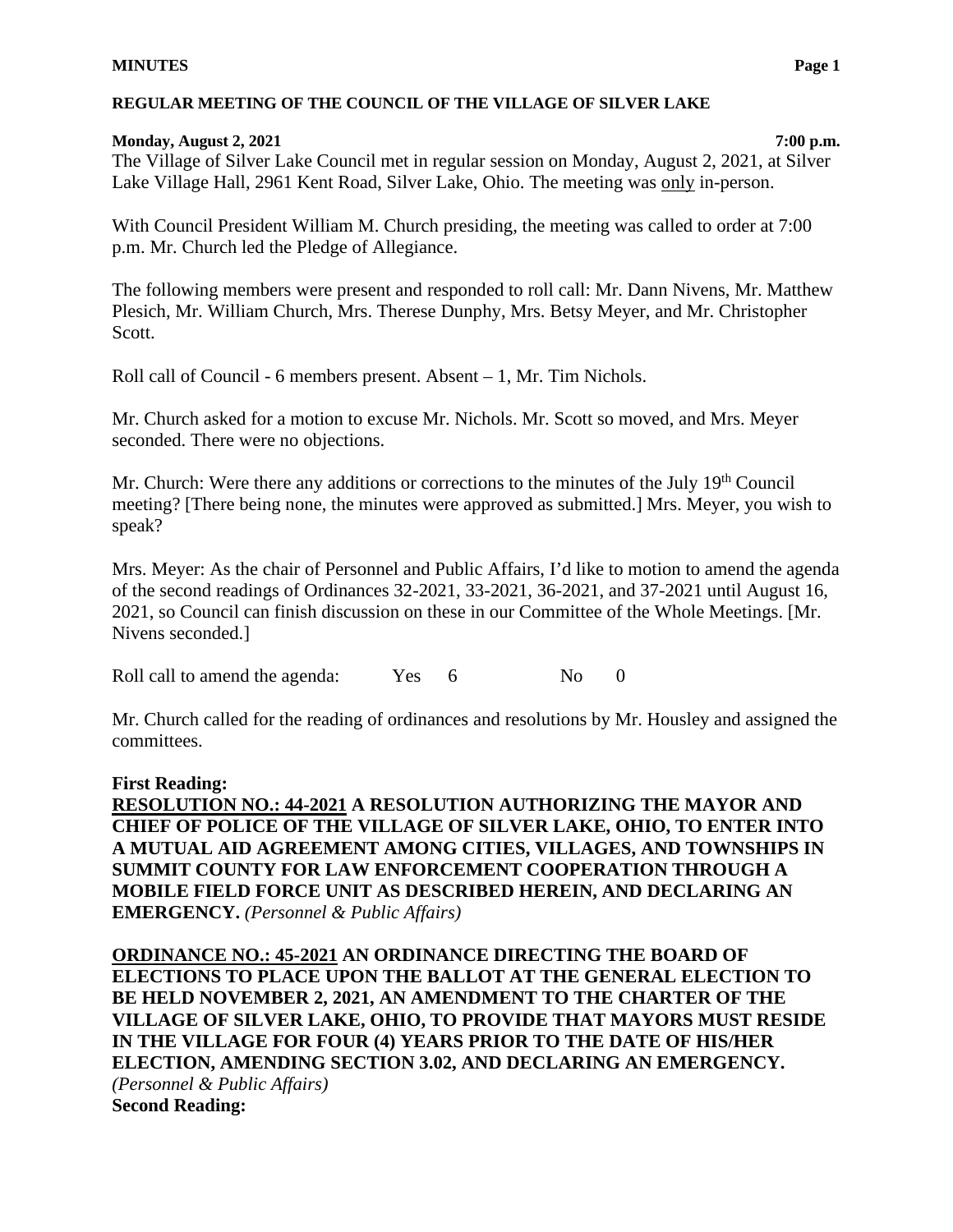#### **Monday, August 2, 2021 7:00 p.m.**

The Village of Silver Lake Council met in regular session on Monday, August 2, 2021, at Silver Lake Village Hall, 2961 Kent Road, Silver Lake, Ohio. The meeting was only in-person.

With Council President William M. Church presiding, the meeting was called to order at 7:00 p.m. Mr. Church led the Pledge of Allegiance.

The following members were present and responded to roll call: Mr. Dann Nivens, Mr. Matthew Plesich, Mr. William Church, Mrs. Therese Dunphy, Mrs. Betsy Meyer, and Mr. Christopher Scott.

Roll call of Council - 6 members present. Absent – 1, Mr. Tim Nichols.

Mr. Church asked for a motion to excuse Mr. Nichols. Mr. Scott so moved, and Mrs. Meyer seconded. There were no objections.

Mr. Church: Were there any additions or corrections to the minutes of the July 19<sup>th</sup> Council meeting? [There being none, the minutes were approved as submitted.] Mrs. Meyer, you wish to speak?

Mrs. Meyer: As the chair of Personnel and Public Affairs, I'd like to motion to amend the agenda of the second readings of Ordinances 32-2021, 33-2021, 36-2021, and 37-2021 until August 16, 2021, so Council can finish discussion on these in our Committee of the Whole Meetings. [Mr. Nivens seconded.]

Roll call to amend the agenda: Yes 6 No 0

Mr. Church called for the reading of ordinances and resolutions by Mr. Housley and assigned the committees.

# **First Reading:**

**RESOLUTION NO.: 44-2021 A RESOLUTION AUTHORIZING THE MAYOR AND CHIEF OF POLICE OF THE VILLAGE OF SILVER LAKE, OHIO, TO ENTER INTO A MUTUAL AID AGREEMENT AMONG CITIES, VILLAGES, AND TOWNSHIPS IN SUMMIT COUNTY FOR LAW ENFORCEMENT COOPERATION THROUGH A MOBILE FIELD FORCE UNIT AS DESCRIBED HEREIN, AND DECLARING AN EMERGENCY.** *(Personnel & Public Affairs)*

**ORDINANCE NO.: 45-2021 AN ORDINANCE DIRECTING THE BOARD OF ELECTIONS TO PLACE UPON THE BALLOT AT THE GENERAL ELECTION TO BE HELD NOVEMBER 2, 2021, AN AMENDMENT TO THE CHARTER OF THE VILLAGE OF SILVER LAKE, OHIO, TO PROVIDE THAT MAYORS MUST RESIDE IN THE VILLAGE FOR FOUR (4) YEARS PRIOR TO THE DATE OF HIS/HER ELECTION, AMENDING SECTION 3.02, AND DECLARING AN EMERGENCY.**  *(Personnel & Public Affairs)* **Second Reading:**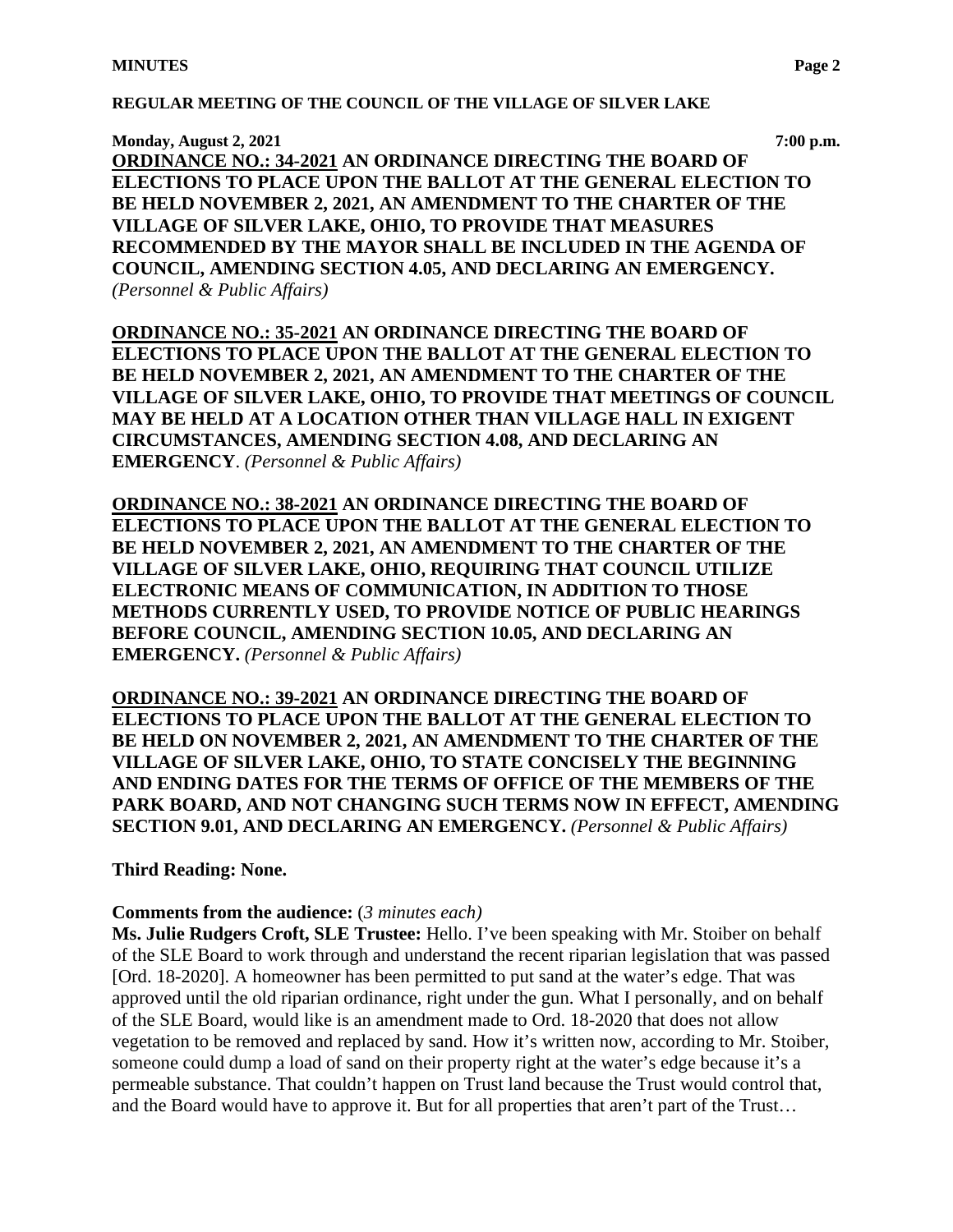**Monday, August 2, 2021 7:00 p.m.**

**ORDINANCE NO.: 34-2021 AN ORDINANCE DIRECTING THE BOARD OF ELECTIONS TO PLACE UPON THE BALLOT AT THE GENERAL ELECTION TO BE HELD NOVEMBER 2, 2021, AN AMENDMENT TO THE CHARTER OF THE VILLAGE OF SILVER LAKE, OHIO, TO PROVIDE THAT MEASURES RECOMMENDED BY THE MAYOR SHALL BE INCLUDED IN THE AGENDA OF COUNCIL, AMENDING SECTION 4.05, AND DECLARING AN EMERGENCY.**  *(Personnel & Public Affairs)*

**ORDINANCE NO.: 35-2021 AN ORDINANCE DIRECTING THE BOARD OF ELECTIONS TO PLACE UPON THE BALLOT AT THE GENERAL ELECTION TO BE HELD NOVEMBER 2, 2021, AN AMENDMENT TO THE CHARTER OF THE VILLAGE OF SILVER LAKE, OHIO, TO PROVIDE THAT MEETINGS OF COUNCIL MAY BE HELD AT A LOCATION OTHER THAN VILLAGE HALL IN EXIGENT CIRCUMSTANCES, AMENDING SECTION 4.08, AND DECLARING AN EMERGENCY**. *(Personnel & Public Affairs)*

**ORDINANCE NO.: 38-2021 AN ORDINANCE DIRECTING THE BOARD OF ELECTIONS TO PLACE UPON THE BALLOT AT THE GENERAL ELECTION TO BE HELD NOVEMBER 2, 2021, AN AMENDMENT TO THE CHARTER OF THE VILLAGE OF SILVER LAKE, OHIO, REQUIRING THAT COUNCIL UTILIZE ELECTRONIC MEANS OF COMMUNICATION, IN ADDITION TO THOSE METHODS CURRENTLY USED, TO PROVIDE NOTICE OF PUBLIC HEARINGS BEFORE COUNCIL, AMENDING SECTION 10.05, AND DECLARING AN EMERGENCY.** *(Personnel & Public Affairs)*

**ORDINANCE NO.: 39-2021 AN ORDINANCE DIRECTING THE BOARD OF ELECTIONS TO PLACE UPON THE BALLOT AT THE GENERAL ELECTION TO BE HELD ON NOVEMBER 2, 2021, AN AMENDMENT TO THE CHARTER OF THE VILLAGE OF SILVER LAKE, OHIO, TO STATE CONCISELY THE BEGINNING AND ENDING DATES FOR THE TERMS OF OFFICE OF THE MEMBERS OF THE PARK BOARD, AND NOT CHANGING SUCH TERMS NOW IN EFFECT, AMENDING SECTION 9.01, AND DECLARING AN EMERGENCY.** *(Personnel & Public Affairs)*

#### **Third Reading: None.**

#### **Comments from the audience:** (*3 minutes each)*

**Ms. Julie Rudgers Croft, SLE Trustee:** Hello. I've been speaking with Mr. Stoiber on behalf of the SLE Board to work through and understand the recent riparian legislation that was passed [Ord. 18-2020]. A homeowner has been permitted to put sand at the water's edge. That was approved until the old riparian ordinance, right under the gun. What I personally, and on behalf of the SLE Board, would like is an amendment made to Ord. 18-2020 that does not allow vegetation to be removed and replaced by sand. How it's written now, according to Mr. Stoiber, someone could dump a load of sand on their property right at the water's edge because it's a permeable substance. That couldn't happen on Trust land because the Trust would control that, and the Board would have to approve it. But for all properties that aren't part of the Trust…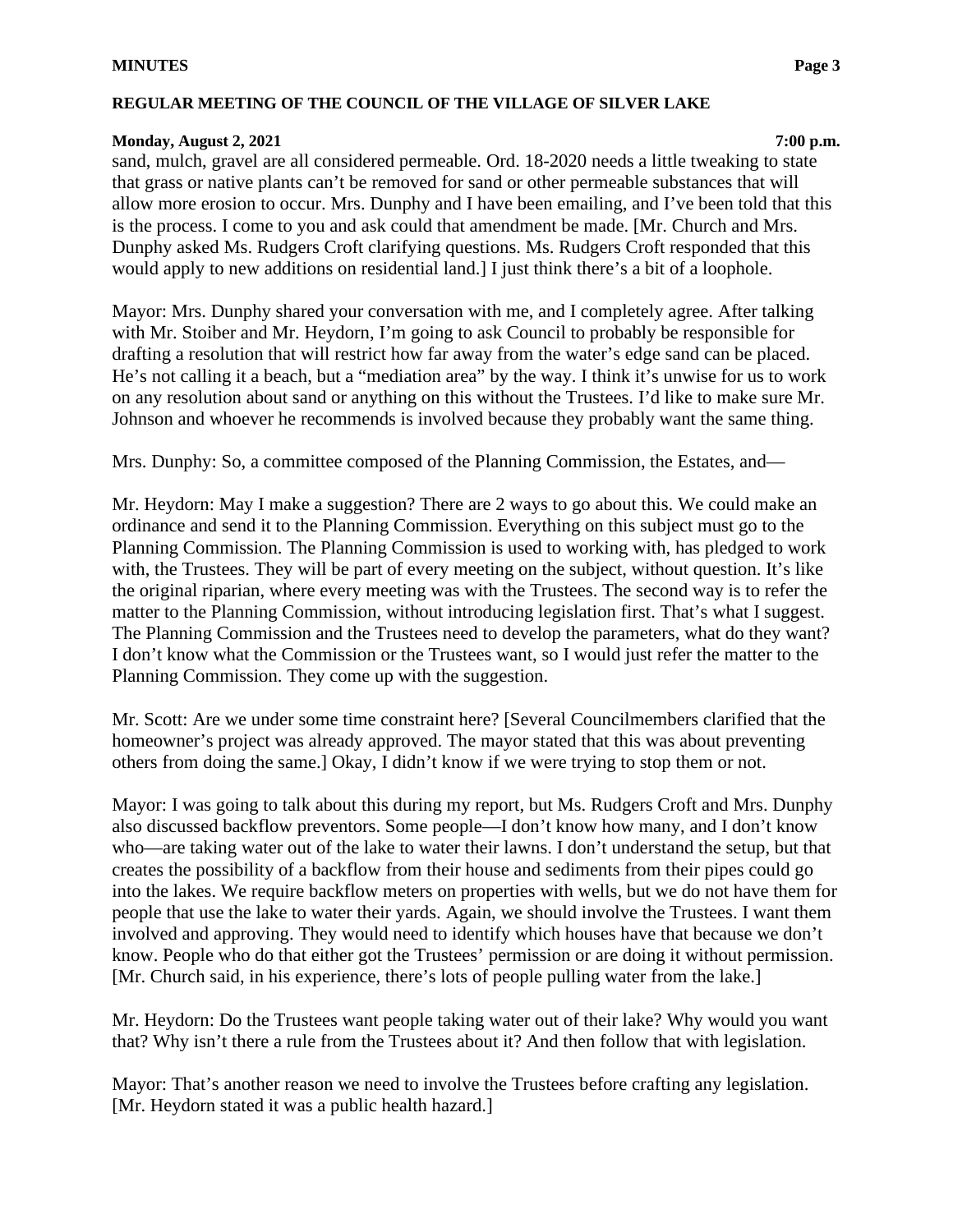#### **Monday, August 2, 2021 7:00 p.m.**

sand, mulch, gravel are all considered permeable. Ord. 18-2020 needs a little tweaking to state that grass or native plants can't be removed for sand or other permeable substances that will allow more erosion to occur. Mrs. Dunphy and I have been emailing, and I've been told that this is the process. I come to you and ask could that amendment be made. [Mr. Church and Mrs. Dunphy asked Ms. Rudgers Croft clarifying questions. Ms. Rudgers Croft responded that this would apply to new additions on residential land.] I just think there's a bit of a loophole.

Mayor: Mrs. Dunphy shared your conversation with me, and I completely agree. After talking with Mr. Stoiber and Mr. Heydorn, I'm going to ask Council to probably be responsible for drafting a resolution that will restrict how far away from the water's edge sand can be placed. He's not calling it a beach, but a "mediation area" by the way. I think it's unwise for us to work on any resolution about sand or anything on this without the Trustees. I'd like to make sure Mr. Johnson and whoever he recommends is involved because they probably want the same thing.

Mrs. Dunphy: So, a committee composed of the Planning Commission, the Estates, and—

Mr. Heydorn: May I make a suggestion? There are 2 ways to go about this. We could make an ordinance and send it to the Planning Commission. Everything on this subject must go to the Planning Commission. The Planning Commission is used to working with, has pledged to work with, the Trustees. They will be part of every meeting on the subject, without question. It's like the original riparian, where every meeting was with the Trustees. The second way is to refer the matter to the Planning Commission, without introducing legislation first. That's what I suggest. The Planning Commission and the Trustees need to develop the parameters, what do they want? I don't know what the Commission or the Trustees want, so I would just refer the matter to the Planning Commission. They come up with the suggestion.

Mr. Scott: Are we under some time constraint here? [Several Councilmembers clarified that the homeowner's project was already approved. The mayor stated that this was about preventing others from doing the same.] Okay, I didn't know if we were trying to stop them or not.

Mayor: I was going to talk about this during my report, but Ms. Rudgers Croft and Mrs. Dunphy also discussed backflow preventors. Some people—I don't know how many, and I don't know who—are taking water out of the lake to water their lawns. I don't understand the setup, but that creates the possibility of a backflow from their house and sediments from their pipes could go into the lakes. We require backflow meters on properties with wells, but we do not have them for people that use the lake to water their yards. Again, we should involve the Trustees. I want them involved and approving. They would need to identify which houses have that because we don't know. People who do that either got the Trustees' permission or are doing it without permission. [Mr. Church said, in his experience, there's lots of people pulling water from the lake.]

Mr. Heydorn: Do the Trustees want people taking water out of their lake? Why would you want that? Why isn't there a rule from the Trustees about it? And then follow that with legislation.

Mayor: That's another reason we need to involve the Trustees before crafting any legislation. [Mr. Heydorn stated it was a public health hazard.]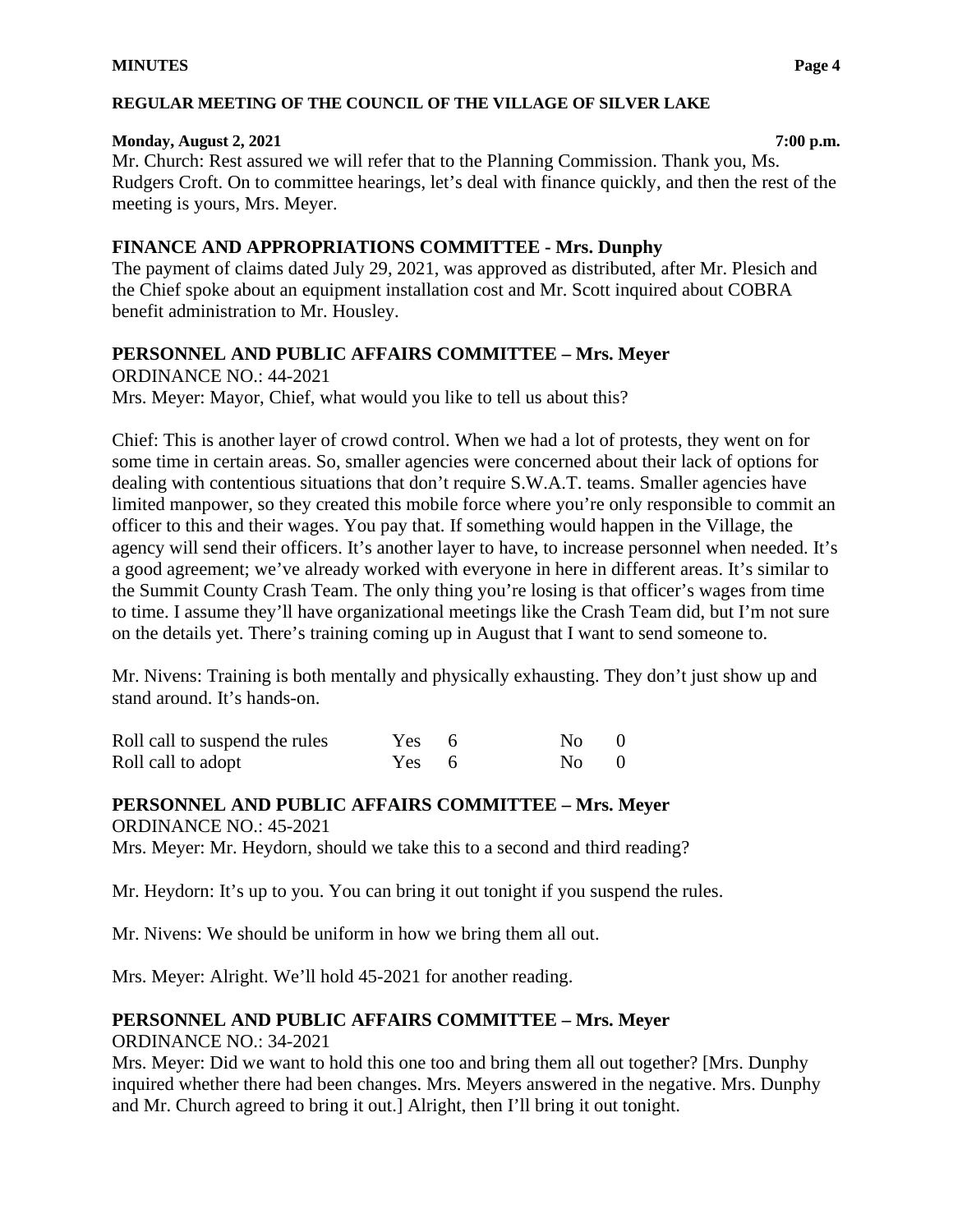#### **Monday, August 2, 2021 7:00 p.m.**

Mr. Church: Rest assured we will refer that to the Planning Commission. Thank you, Ms. Rudgers Croft. On to committee hearings, let's deal with finance quickly, and then the rest of the meeting is yours, Mrs. Meyer.

# **FINANCE AND APPROPRIATIONS COMMITTEE - Mrs. Dunphy**

The payment of claims dated July 29, 2021, was approved as distributed, after Mr. Plesich and the Chief spoke about an equipment installation cost and Mr. Scott inquired about COBRA benefit administration to Mr. Housley.

# **PERSONNEL AND PUBLIC AFFAIRS COMMITTEE – Mrs. Meyer**

ORDINANCE NO.: 44-2021 Mrs. Meyer: Mayor, Chief, what would you like to tell us about this?

Chief: This is another layer of crowd control. When we had a lot of protests, they went on for some time in certain areas. So, smaller agencies were concerned about their lack of options for dealing with contentious situations that don't require S.W.A.T. teams. Smaller agencies have limited manpower, so they created this mobile force where you're only responsible to commit an officer to this and their wages. You pay that. If something would happen in the Village, the agency will send their officers. It's another layer to have, to increase personnel when needed. It's a good agreement; we've already worked with everyone in here in different areas. It's similar to the Summit County Crash Team. The only thing you're losing is that officer's wages from time to time. I assume they'll have organizational meetings like the Crash Team did, but I'm not sure on the details yet. There's training coming up in August that I want to send someone to.

Mr. Nivens: Training is both mentally and physically exhausting. They don't just show up and stand around. It's hands-on.

| Roll call to suspend the rules | Yes 6 | $N_O = 0$ |  |
|--------------------------------|-------|-----------|--|
| Roll call to adopt             | Yes 6 | $N0$ 0    |  |

**PERSONNEL AND PUBLIC AFFAIRS COMMITTEE – Mrs. Meyer** ORDINANCE NO.: 45-2021 Mrs. Meyer: Mr. Heydorn, should we take this to a second and third reading?

Mr. Heydorn: It's up to you. You can bring it out tonight if you suspend the rules.

Mr. Nivens: We should be uniform in how we bring them all out.

Mrs. Meyer: Alright. We'll hold 45-2021 for another reading.

# **PERSONNEL AND PUBLIC AFFAIRS COMMITTEE – Mrs. Meyer**

ORDINANCE NO.: 34-2021

Mrs. Meyer: Did we want to hold this one too and bring them all out together? [Mrs. Dunphy inquired whether there had been changes. Mrs. Meyers answered in the negative. Mrs. Dunphy and Mr. Church agreed to bring it out.] Alright, then I'll bring it out tonight.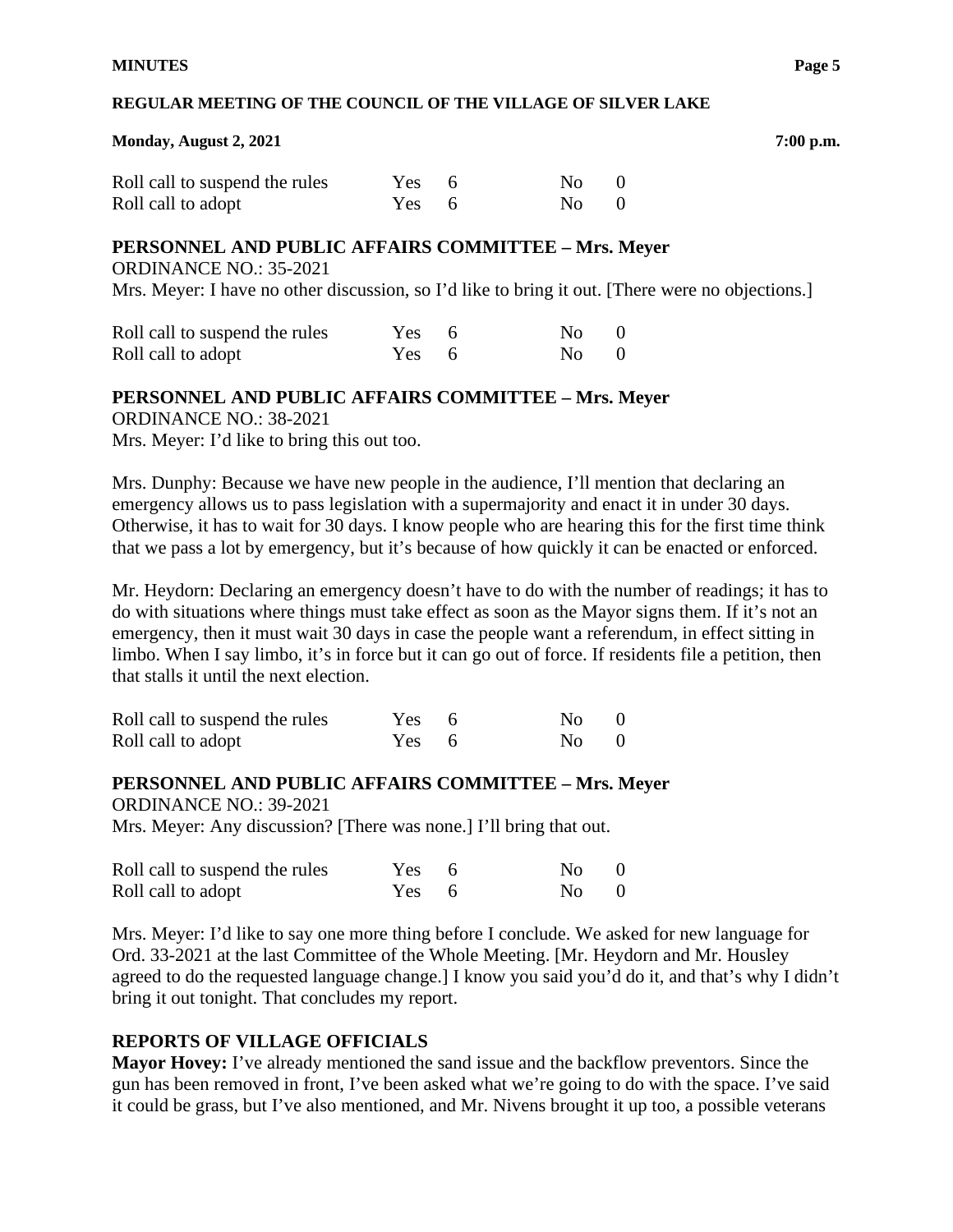#### **Monday, August 2, 2021 7:00 p.m.**

| Roll call to suspend the rules | $Yes = 6$ | $N0$ 0 |  |
|--------------------------------|-----------|--------|--|
| Roll call to adopt             | $Yes = 6$ | $N0$ 0 |  |

#### **PERSONNEL AND PUBLIC AFFAIRS COMMITTEE – Mrs. Meyer**

ORDINANCE NO.: 35-2021

Mrs. Meyer: I have no other discussion, so I'd like to bring it out. [There were no objections.]

| Roll call to suspend the rules | $Yes = 6$ | $N0$ 0 |  |
|--------------------------------|-----------|--------|--|
| Roll call to adopt             | $Yes = 6$ | $N0$ 0 |  |

#### **PERSONNEL AND PUBLIC AFFAIRS COMMITTEE – Mrs. Meyer**

ORDINANCE NO.: 38-2021

Mrs. Meyer: I'd like to bring this out too.

Mrs. Dunphy: Because we have new people in the audience, I'll mention that declaring an emergency allows us to pass legislation with a supermajority and enact it in under 30 days. Otherwise, it has to wait for 30 days. I know people who are hearing this for the first time think that we pass a lot by emergency, but it's because of how quickly it can be enacted or enforced.

Mr. Heydorn: Declaring an emergency doesn't have to do with the number of readings; it has to do with situations where things must take effect as soon as the Mayor signs them. If it's not an emergency, then it must wait 30 days in case the people want a referendum, in effect sitting in limbo. When I say limbo, it's in force but it can go out of force. If residents file a petition, then that stalls it until the next election.

| Roll call to suspend the rules | Yes 6 | $N0$ 0 |  |
|--------------------------------|-------|--------|--|
| Roll call to adopt             | Yes 6 | $N0$ 0 |  |

# **PERSONNEL AND PUBLIC AFFAIRS COMMITTEE – Mrs. Meyer**

ORDINANCE NO.: 39-2021 Mrs. Meyer: Any discussion? [There was none.] I'll bring that out.

| Roll call to suspend the rules | Yes 6 | $\mathrm{No} \qquad 0$ |  |
|--------------------------------|-------|------------------------|--|
| Roll call to adopt             | Yes 6 | $\mathrm{No} = 0$      |  |

Mrs. Meyer: I'd like to say one more thing before I conclude. We asked for new language for Ord. 33-2021 at the last Committee of the Whole Meeting. [Mr. Heydorn and Mr. Housley agreed to do the requested language change.] I know you said you'd do it, and that's why I didn't bring it out tonight. That concludes my report.

# **REPORTS OF VILLAGE OFFICIALS**

**Mayor Hovey:** I've already mentioned the sand issue and the backflow preventors. Since the gun has been removed in front, I've been asked what we're going to do with the space. I've said it could be grass, but I've also mentioned, and Mr. Nivens brought it up too, a possible veterans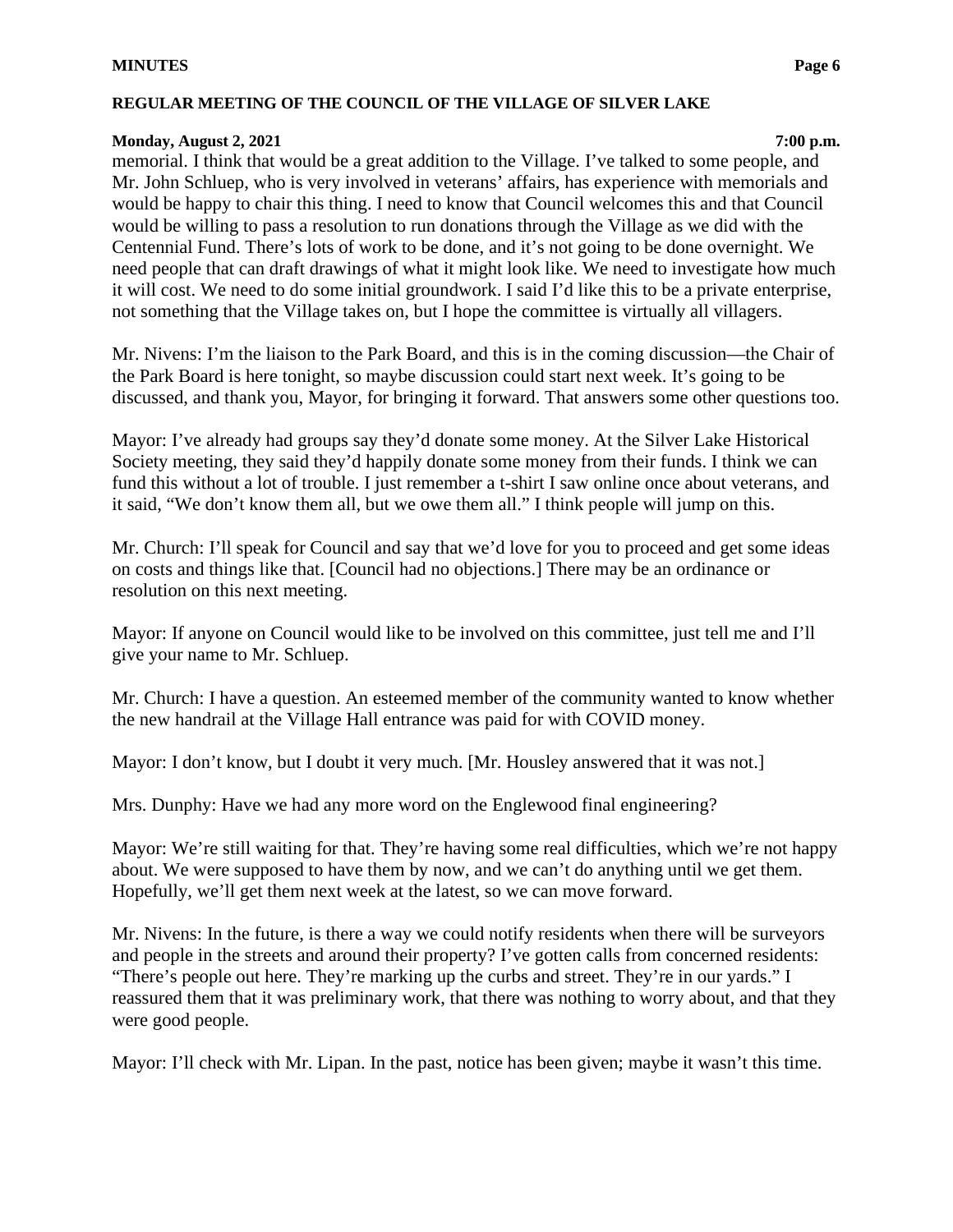#### **Monday, August 2, 2021 7:00 p.m.**

memorial. I think that would be a great addition to the Village. I've talked to some people, and Mr. John Schluep, who is very involved in veterans' affairs, has experience with memorials and would be happy to chair this thing. I need to know that Council welcomes this and that Council would be willing to pass a resolution to run donations through the Village as we did with the Centennial Fund. There's lots of work to be done, and it's not going to be done overnight. We need people that can draft drawings of what it might look like. We need to investigate how much it will cost. We need to do some initial groundwork. I said I'd like this to be a private enterprise, not something that the Village takes on, but I hope the committee is virtually all villagers.

Mr. Nivens: I'm the liaison to the Park Board, and this is in the coming discussion—the Chair of the Park Board is here tonight, so maybe discussion could start next week. It's going to be discussed, and thank you, Mayor, for bringing it forward. That answers some other questions too.

Mayor: I've already had groups say they'd donate some money. At the Silver Lake Historical Society meeting, they said they'd happily donate some money from their funds. I think we can fund this without a lot of trouble. I just remember a t-shirt I saw online once about veterans, and it said, "We don't know them all, but we owe them all." I think people will jump on this.

Mr. Church: I'll speak for Council and say that we'd love for you to proceed and get some ideas on costs and things like that. [Council had no objections.] There may be an ordinance or resolution on this next meeting.

Mayor: If anyone on Council would like to be involved on this committee, just tell me and I'll give your name to Mr. Schluep.

Mr. Church: I have a question. An esteemed member of the community wanted to know whether the new handrail at the Village Hall entrance was paid for with COVID money.

Mayor: I don't know, but I doubt it very much. [Mr. Housley answered that it was not.]

Mrs. Dunphy: Have we had any more word on the Englewood final engineering?

Mayor: We're still waiting for that. They're having some real difficulties, which we're not happy about. We were supposed to have them by now, and we can't do anything until we get them. Hopefully, we'll get them next week at the latest, so we can move forward.

Mr. Nivens: In the future, is there a way we could notify residents when there will be surveyors and people in the streets and around their property? I've gotten calls from concerned residents: "There's people out here. They're marking up the curbs and street. They're in our yards." I reassured them that it was preliminary work, that there was nothing to worry about, and that they were good people.

Mayor: I'll check with Mr. Lipan. In the past, notice has been given; maybe it wasn't this time.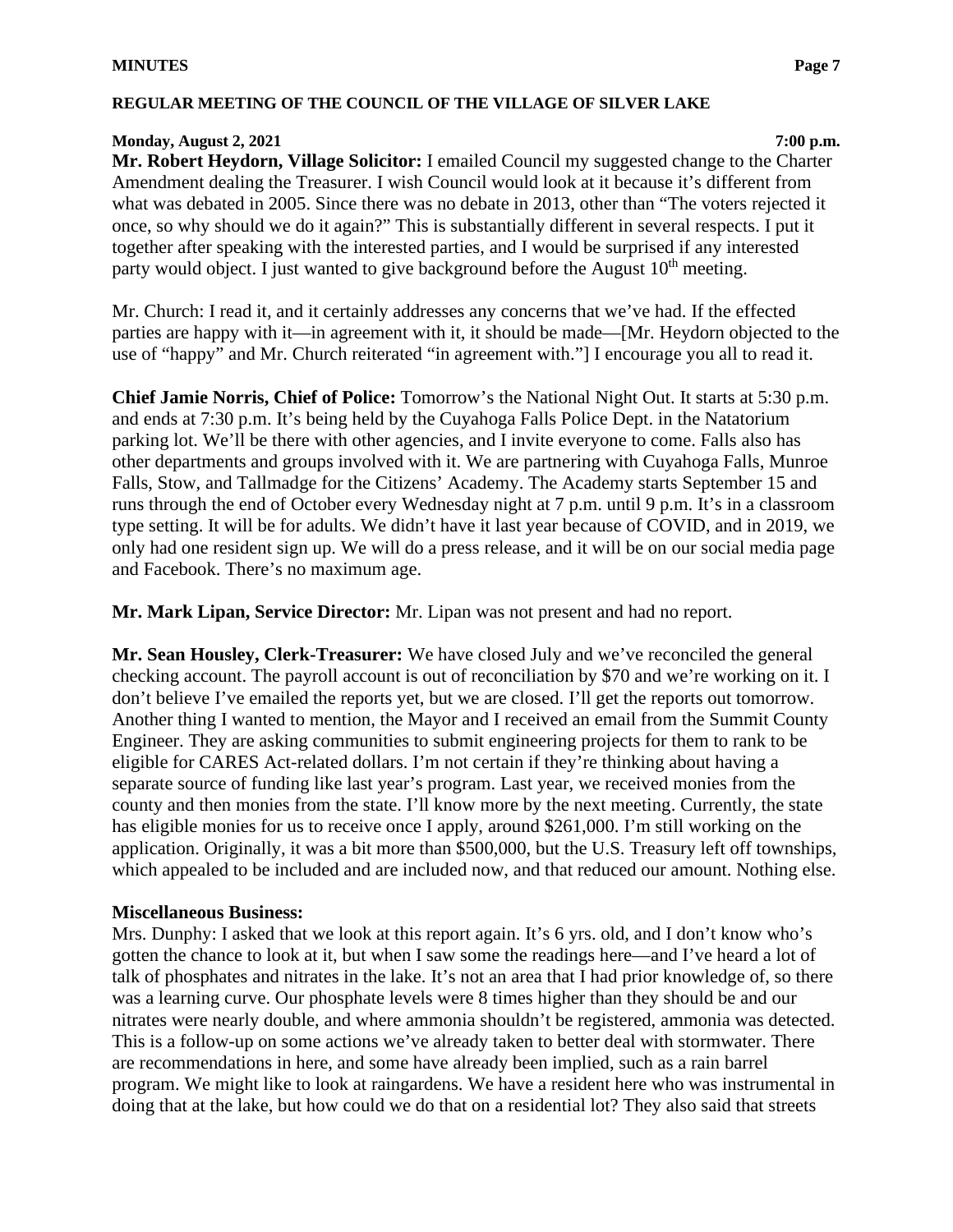# **Monday, August 2, 2021 7:00 p.m.**

**Mr. Robert Heydorn, Village Solicitor:** I emailed Council my suggested change to the Charter Amendment dealing the Treasurer. I wish Council would look at it because it's different from what was debated in 2005. Since there was no debate in 2013, other than "The voters rejected it once, so why should we do it again?" This is substantially different in several respects. I put it together after speaking with the interested parties, and I would be surprised if any interested party would object. I just wanted to give background before the August  $10<sup>th</sup>$  meeting.

Mr. Church: I read it, and it certainly addresses any concerns that we've had. If the effected parties are happy with it—in agreement with it, it should be made—[Mr. Heydorn objected to the use of "happy" and Mr. Church reiterated "in agreement with."] I encourage you all to read it.

**Chief Jamie Norris, Chief of Police:** Tomorrow's the National Night Out. It starts at 5:30 p.m. and ends at 7:30 p.m. It's being held by the Cuyahoga Falls Police Dept. in the Natatorium parking lot. We'll be there with other agencies, and I invite everyone to come. Falls also has other departments and groups involved with it. We are partnering with Cuyahoga Falls, Munroe Falls, Stow, and Tallmadge for the Citizens' Academy. The Academy starts September 15 and runs through the end of October every Wednesday night at 7 p.m. until 9 p.m. It's in a classroom type setting. It will be for adults. We didn't have it last year because of COVID, and in 2019, we only had one resident sign up. We will do a press release, and it will be on our social media page and Facebook. There's no maximum age.

**Mr. Mark Lipan, Service Director:** Mr. Lipan was not present and had no report.

**Mr. Sean Housley, Clerk-Treasurer:** We have closed July and we've reconciled the general checking account. The payroll account is out of reconciliation by \$70 and we're working on it. I don't believe I've emailed the reports yet, but we are closed. I'll get the reports out tomorrow. Another thing I wanted to mention, the Mayor and I received an email from the Summit County Engineer. They are asking communities to submit engineering projects for them to rank to be eligible for CARES Act-related dollars. I'm not certain if they're thinking about having a separate source of funding like last year's program. Last year, we received monies from the county and then monies from the state. I'll know more by the next meeting. Currently, the state has eligible monies for us to receive once I apply, around \$261,000. I'm still working on the application. Originally, it was a bit more than \$500,000, but the U.S. Treasury left off townships, which appealed to be included and are included now, and that reduced our amount. Nothing else.

# **Miscellaneous Business:**

Mrs. Dunphy: I asked that we look at this report again. It's 6 yrs. old, and I don't know who's gotten the chance to look at it, but when I saw some the readings here—and I've heard a lot of talk of phosphates and nitrates in the lake. It's not an area that I had prior knowledge of, so there was a learning curve. Our phosphate levels were 8 times higher than they should be and our nitrates were nearly double, and where ammonia shouldn't be registered, ammonia was detected. This is a follow-up on some actions we've already taken to better deal with stormwater. There are recommendations in here, and some have already been implied, such as a rain barrel program. We might like to look at raingardens. We have a resident here who was instrumental in doing that at the lake, but how could we do that on a residential lot? They also said that streets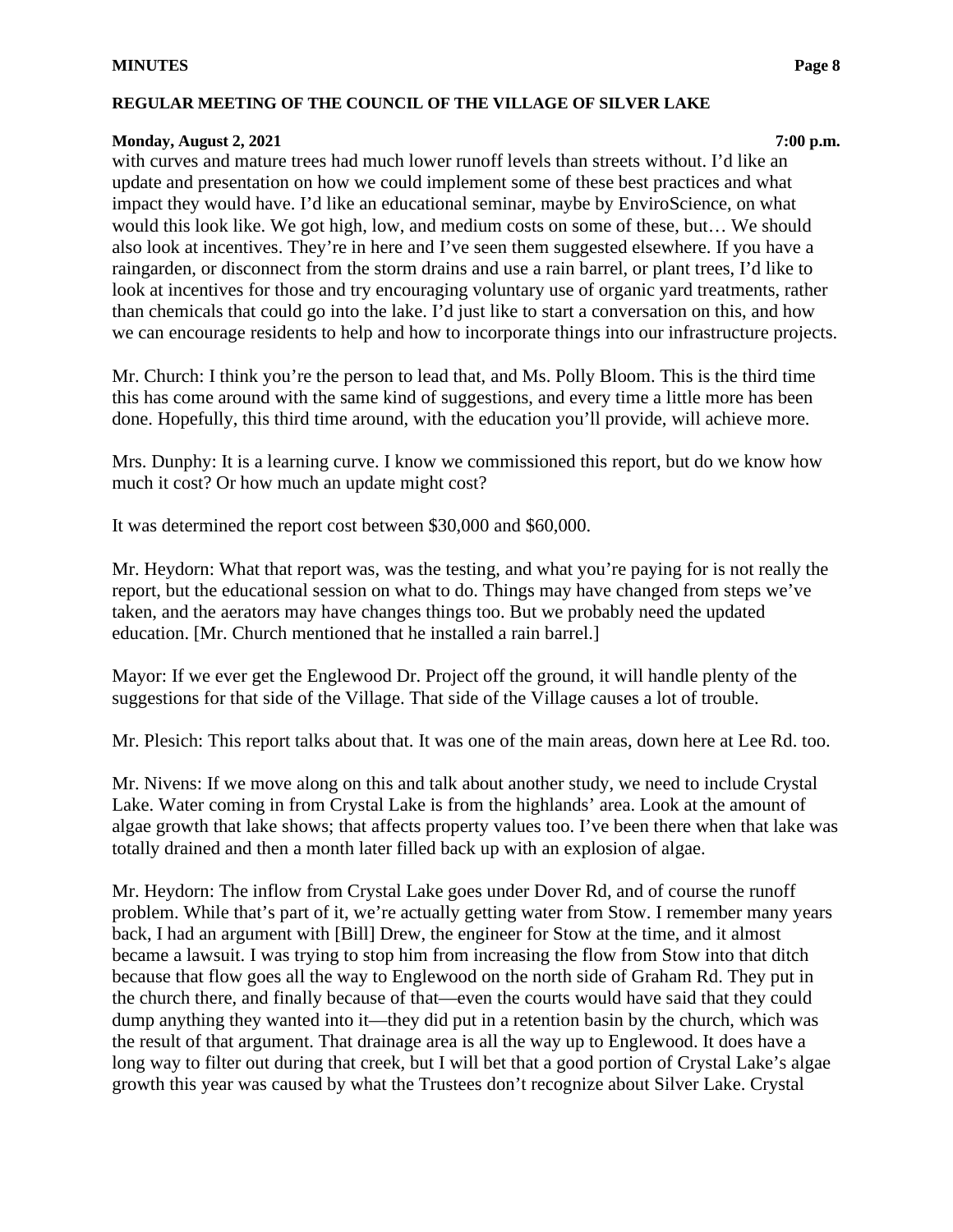#### **Monday, August 2, 2021 7:00 p.m.**

with curves and mature trees had much lower runoff levels than streets without. I'd like an update and presentation on how we could implement some of these best practices and what impact they would have. I'd like an educational seminar, maybe by EnviroScience, on what would this look like. We got high, low, and medium costs on some of these, but… We should also look at incentives. They're in here and I've seen them suggested elsewhere. If you have a raingarden, or disconnect from the storm drains and use a rain barrel, or plant trees, I'd like to look at incentives for those and try encouraging voluntary use of organic yard treatments, rather than chemicals that could go into the lake. I'd just like to start a conversation on this, and how we can encourage residents to help and how to incorporate things into our infrastructure projects.

Mr. Church: I think you're the person to lead that, and Ms. Polly Bloom. This is the third time this has come around with the same kind of suggestions, and every time a little more has been done. Hopefully, this third time around, with the education you'll provide, will achieve more.

Mrs. Dunphy: It is a learning curve. I know we commissioned this report, but do we know how much it cost? Or how much an update might cost?

It was determined the report cost between \$30,000 and \$60,000.

Mr. Heydorn: What that report was, was the testing, and what you're paying for is not really the report, but the educational session on what to do. Things may have changed from steps we've taken, and the aerators may have changes things too. But we probably need the updated education. [Mr. Church mentioned that he installed a rain barrel.]

Mayor: If we ever get the Englewood Dr. Project off the ground, it will handle plenty of the suggestions for that side of the Village. That side of the Village causes a lot of trouble.

Mr. Plesich: This report talks about that. It was one of the main areas, down here at Lee Rd. too.

Mr. Nivens: If we move along on this and talk about another study, we need to include Crystal Lake. Water coming in from Crystal Lake is from the highlands' area. Look at the amount of algae growth that lake shows; that affects property values too. I've been there when that lake was totally drained and then a month later filled back up with an explosion of algae.

Mr. Heydorn: The inflow from Crystal Lake goes under Dover Rd, and of course the runoff problem. While that's part of it, we're actually getting water from Stow. I remember many years back, I had an argument with [Bill] Drew, the engineer for Stow at the time, and it almost became a lawsuit. I was trying to stop him from increasing the flow from Stow into that ditch because that flow goes all the way to Englewood on the north side of Graham Rd. They put in the church there, and finally because of that—even the courts would have said that they could dump anything they wanted into it—they did put in a retention basin by the church, which was the result of that argument. That drainage area is all the way up to Englewood. It does have a long way to filter out during that creek, but I will bet that a good portion of Crystal Lake's algae growth this year was caused by what the Trustees don't recognize about Silver Lake. Crystal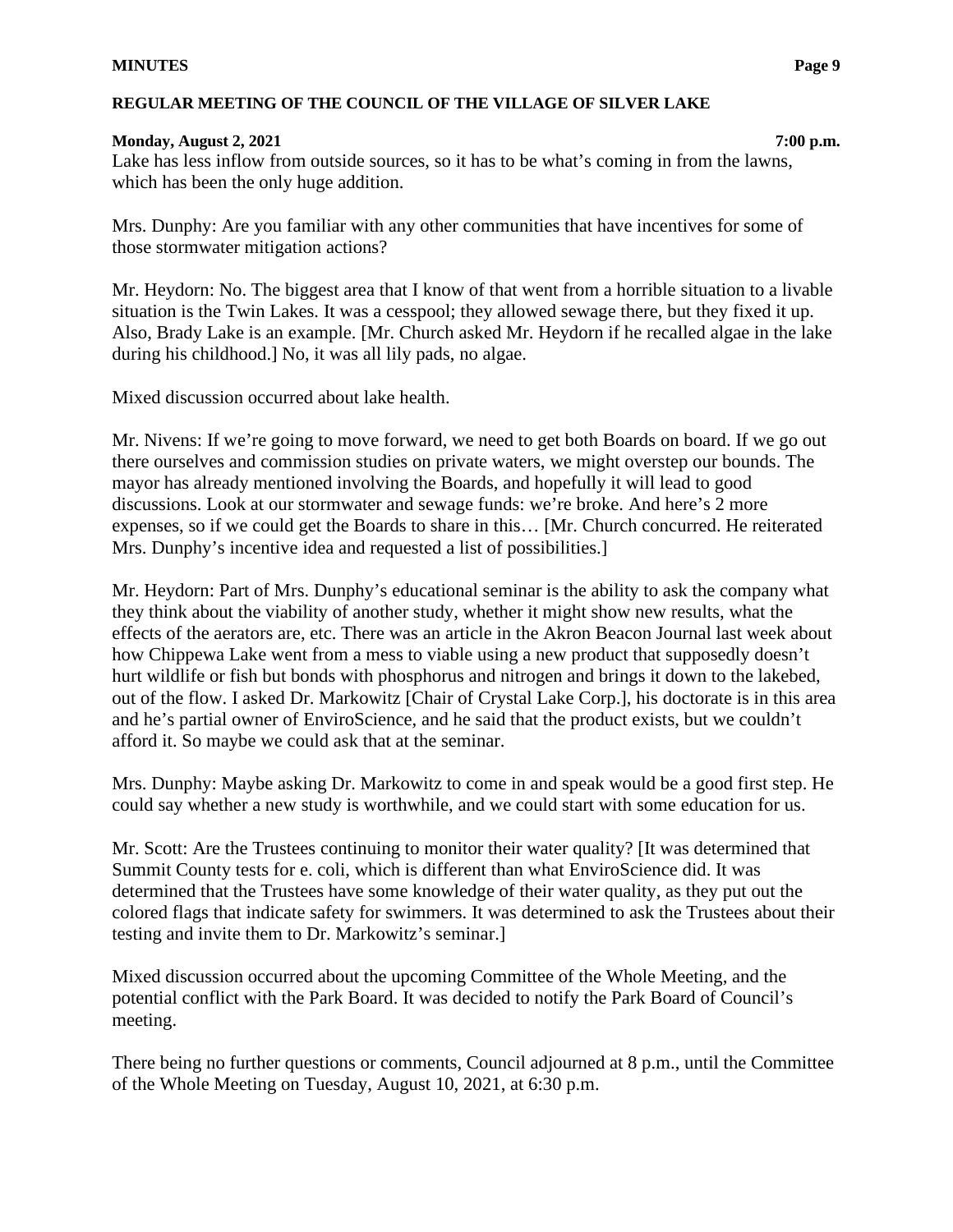#### **Monday, August 2, 2021 7:00 p.m.**

Lake has less inflow from outside sources, so it has to be what's coming in from the lawns, which has been the only huge addition.

Mrs. Dunphy: Are you familiar with any other communities that have incentives for some of those stormwater mitigation actions?

Mr. Heydorn: No. The biggest area that I know of that went from a horrible situation to a livable situation is the Twin Lakes. It was a cesspool; they allowed sewage there, but they fixed it up. Also, Brady Lake is an example. [Mr. Church asked Mr. Heydorn if he recalled algae in the lake during his childhood.] No, it was all lily pads, no algae.

Mixed discussion occurred about lake health.

Mr. Nivens: If we're going to move forward, we need to get both Boards on board. If we go out there ourselves and commission studies on private waters, we might overstep our bounds. The mayor has already mentioned involving the Boards, and hopefully it will lead to good discussions. Look at our stormwater and sewage funds: we're broke. And here's 2 more expenses, so if we could get the Boards to share in this… [Mr. Church concurred. He reiterated Mrs. Dunphy's incentive idea and requested a list of possibilities.]

Mr. Heydorn: Part of Mrs. Dunphy's educational seminar is the ability to ask the company what they think about the viability of another study, whether it might show new results, what the effects of the aerators are, etc. There was an article in the Akron Beacon Journal last week about how Chippewa Lake went from a mess to viable using a new product that supposedly doesn't hurt wildlife or fish but bonds with phosphorus and nitrogen and brings it down to the lakebed, out of the flow. I asked Dr. Markowitz [Chair of Crystal Lake Corp.], his doctorate is in this area and he's partial owner of EnviroScience, and he said that the product exists, but we couldn't afford it. So maybe we could ask that at the seminar.

Mrs. Dunphy: Maybe asking Dr. Markowitz to come in and speak would be a good first step. He could say whether a new study is worthwhile, and we could start with some education for us.

Mr. Scott: Are the Trustees continuing to monitor their water quality? [It was determined that Summit County tests for e. coli, which is different than what EnviroScience did. It was determined that the Trustees have some knowledge of their water quality, as they put out the colored flags that indicate safety for swimmers. It was determined to ask the Trustees about their testing and invite them to Dr. Markowitz's seminar.]

Mixed discussion occurred about the upcoming Committee of the Whole Meeting, and the potential conflict with the Park Board. It was decided to notify the Park Board of Council's meeting.

There being no further questions or comments, Council adjourned at 8 p.m., until the Committee of the Whole Meeting on Tuesday, August 10, 2021, at 6:30 p.m.